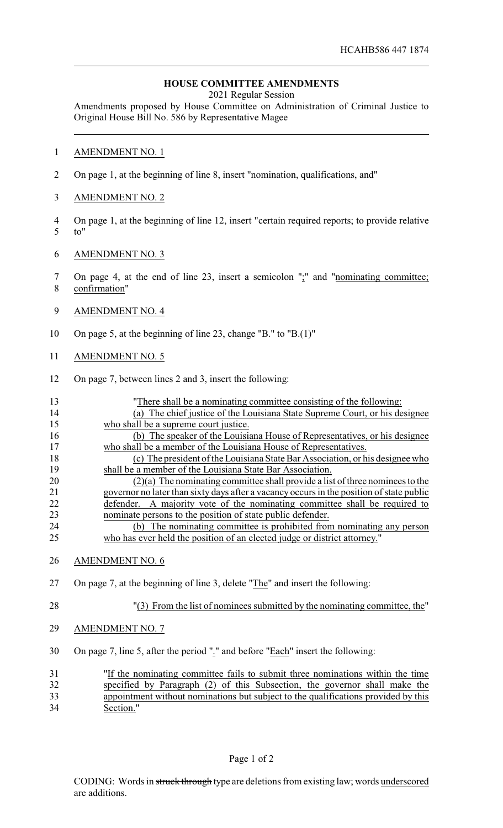## **HOUSE COMMITTEE AMENDMENTS**

2021 Regular Session

Amendments proposed by House Committee on Administration of Criminal Justice to Original House Bill No. 586 by Representative Magee

## 1 AMENDMENT NO. 1

- 2 On page 1, at the beginning of line 8, insert "nomination, qualifications, and"
- 3 AMENDMENT NO. 2
- 4 On page 1, at the beginning of line 12, insert "certain required reports; to provide relative 5 to"
- 6 AMENDMENT NO. 3
- 7 On page 4, at the end of line 23, insert a semicolon ";" and "nominating committee; 8 confirmation"
- 9 AMENDMENT NO. 4
- 10 On page 5, at the beginning of line 23, change "B." to "B.(1)"
- 11 AMENDMENT NO. 5
- 12 On page 7, between lines 2 and 3, insert the following:

| 13            | "There shall be a nominating committee consisting of the following:                       |
|---------------|-------------------------------------------------------------------------------------------|
| 14            | (a) The chief justice of the Louisiana State Supreme Court, or his designee               |
| 15            | who shall be a supreme court justice.                                                     |
| 16            | (b) The speaker of the Louisiana House of Representatives, or his designee                |
| 17            | who shall be a member of the Louisiana House of Representatives.                          |
| 18            | (c) The president of the Louisiana State Bar Association, or his designee who             |
| 19            | shall be a member of the Louisiana State Bar Association.                                 |
| 20            | $(2)(a)$ The nominating committee shall provide a list of three nominees to the           |
| 21            | governor no later than sixty days after a vacancy occurs in the position of state public  |
| 22            | A majority vote of the nominating committee shall be required to<br>defender.             |
| 23            | nominate persons to the position of state public defender.                                |
| 24            | (b) The nominating committee is prohibited from nominating any person                     |
| 25            | who has ever held the position of an elected judge or district attorney."                 |
| 26            | <b>AMENDMENT NO. 6</b>                                                                    |
| 27            | On page 7, at the beginning of line 3, delete "The" and insert the following:             |
| 28            | "(3) From the list of nominees submitted by the nominating committee, the"                |
| 29            | <b>AMENDMENT NO. 7</b>                                                                    |
| 30            | On page 7, line 5, after the period "." and before "Each" insert the following:           |
| 31            | "If the nominating committee fails to submit three nominations within the time            |
| 32            | specified by Paragraph (2) of this Subsection, the governor shall make the                |
| $\mathcal{D}$ | the cut with ont a quein sticked but only installed the small Cookiese annual ded by this |